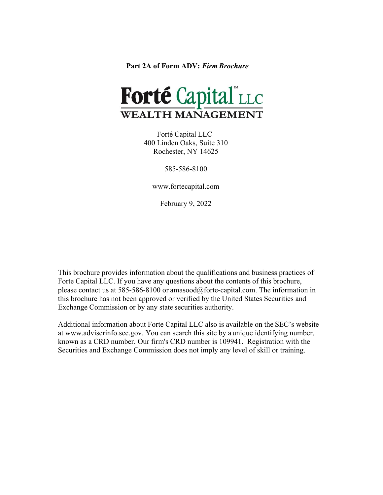<span id="page-0-0"></span>**Part 2A of Form ADV:** *Firm Brochure*



 Forté Capital LLC 400 Linden Oaks, Suite 310 Rochester, NY 14625

585-586-8100

[www.fortecapital.com](http://www.fortecapital.com/)

February 9, 2022

This brochure provides information about the qualifications and business practices of Forte Capital LLC. If you have any questions about the contents of this brochure, please contact us at 585-586-8100 or amasood@forte-capital.com. The information in this brochure has not been approved or verified by the United States Securities and Exchange Commission or by any state securities authority.

Additional information about Forte Capital LLC also is available on the SEC's website [at www.adviserinfo.sec.gov.](http://www.adviserinfo.sec.gov/) You can search this site by a unique identifying number, known as a CRD number. Our firm's CRD number is 109941. Registration with the Securities and Exchange Commission does not imply any level of skill or training.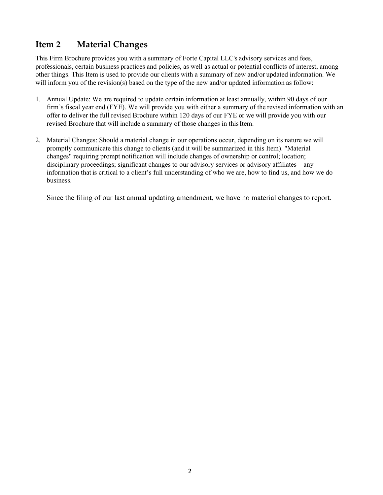## <span id="page-1-0"></span>**Item 2 Material Changes**

This Firm Brochure provides you with a summary of Forte Capital LLC's advisory services and fees, professionals, certain business practices and policies, as well as actual or potential conflicts of interest, among other things. This Item is used to provide our clients with a summary of new and/or updated information. We will inform you of the revision(s) based on the type of the new and/or updated information as follow:

- 1. Annual Update: We are required to update certain information at least annually, within 90 days of our firm's fiscal year end (FYE). We will provide you with either a summary of the revised information with an offer to deliver the full revised Brochure within 120 days of our FYE or we will provide you with our revised Brochure that will include a summary of those changes in this Item.
- 2. Material Changes: Should a material change in our operations occur, depending on its nature we will promptly communicate this change to clients (and it will be summarized in this Item). "Material changes" requiring prompt notification will include changes of ownership or control; location; disciplinary proceedings; significant changes to our advisory services or advisory affiliates – any information that is critical to a client's full understanding of who we are, how to find us, and how we do business.

Since the filing of our last annual updating amendment, we have no material changes to report.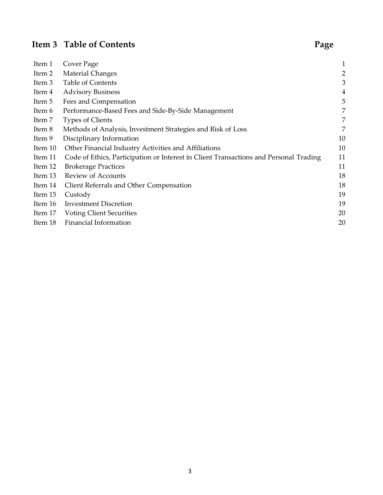# **Item 3 Table of Contents Page**

| Item 1  | Cover Page                                                                            | $\mathbf{1}$   |
|---------|---------------------------------------------------------------------------------------|----------------|
| Item 2  | <b>Material Changes</b>                                                               | $\overline{c}$ |
| Item 3  | <b>Table of Contents</b>                                                              | 3              |
| Item 4  | <b>Advisory Business</b>                                                              | $\overline{4}$ |
| Item 5  | Fees and Compensation                                                                 | 5              |
| Item 6  | Performance-Based Fees and Side-By-Side Management                                    | 7              |
| Item 7  | <b>Types of Clients</b>                                                               | 7              |
| Item 8  | Methods of Analysis, Investment Strategies and Risk of Loss                           | 7              |
| Item 9  | Disciplinary Information                                                              | 10             |
| Item 10 | Other Financial Industry Activities and Affiliations                                  | 10             |
| Item 11 | Code of Ethics, Participation or Interest in Client Transactions and Personal Trading | 11             |
| Item 12 | <b>Brokerage Practices</b>                                                            | 11             |
| Item 13 | <b>Review of Accounts</b>                                                             | 18             |
| Item 14 | Client Referrals and Other Compensation                                               | 18             |
| Item 15 | Custody                                                                               | 19             |
| Item 16 | <b>Investment Discretion</b>                                                          | 19             |
| Item 17 | <b>Voting Client Securities</b>                                                       | 20             |
| Item 18 | Financial Information                                                                 | 20             |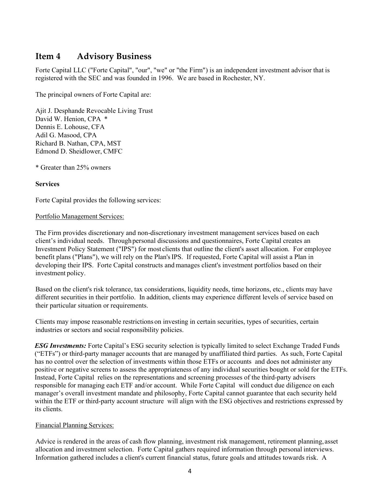## <span id="page-3-0"></span>**Item 4 Advisory Business**

Forte Capital LLC ("Forte Capital", "our", "we" or "the Firm") is an independent investment advisor that is registered with the SEC and was founded in 1996. We are based in Rochester, NY.

The principal owners of Forte Capital are:

Ajit J. Desphande Revocable Living Trust David W. Henion, CPA \* Dennis E. Lohouse, CFA Adil G. Masood, CPA Richard B. Nathan, CPA, MST Edmond D. Sheidlower, CMFC

\* Greater than 25% owners

## **Services**

Forte Capital provides the following services:

### Portfolio Management Services:

The Firm provides discretionary and non-discretionary investment management services based on each client's individual needs. Through personal discussions and questionnaires, Forte Capital creates an Investment Policy Statement ("IPS") for most clients that outline the client's asset allocation. For employee benefit plans ("Plans"), we will rely on the Plan'sIPS. If requested, Forte Capital will assist a Plan in developing their IPS. Forte Capital constructs and manages client's investment portfolios based on their investment policy.

Based on the client's risk tolerance, tax considerations, liquidity needs, time horizons, etc., clients may have different securities in their portfolio. In addition, clients may experience different levels of service based on their particular situation or requirements.

Clients may impose reasonable restrictions on investing in certain securities, types of securities, certain industries or sectors and social responsibility policies.

*ESG Investments:* Forte Capital's ESG security selection is typically limited to select Exchange Traded Funds ("ETFs") or third-party manager accounts that are managed by unaffiliated third parties. As such, Forte Capital has no control over the selection of investments within those ETFs or accounts and does not administer any positive or negative screens to assess the appropriateness of any individual securities bought or sold for the ETFs. Instead, Forte Capital relies on the representations and screening processes of the third-party advisers responsible for managing each ETF and/or account. While Forte Capital will conduct due diligence on each manager's overall investment mandate and philosophy, Forte Capital cannot guarantee that each security held within the ETF or third-party account structure will align with the ESG objectives and restrictions expressed by its clients.

### Financial Planning Services:

Advice is rendered in the areas of cash flow planning, investment risk management, retirement planning,asset allocation and investment selection. Forte Capital gathers required information through personal interviews. Information gathered includes a client's current financial status, future goals and attitudes towards risk. A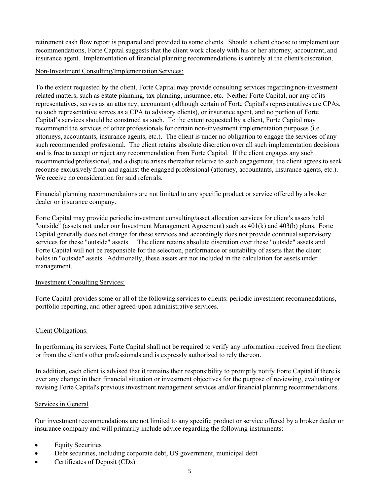retirement cash flow report is prepared and provided to some clients. Should a client choose to implement our recommendations, Forte Capital suggests that the client work closely with his or her attorney, accountant, and insurance agent. Implementation of financial planning recommendations is entirely at the client's discretion.

## Non-Investment Consulting/Implementation Services:

To the extent requested by the client, Forte Capital may provide consulting services regarding non-investment related matters, such as estate planning, tax planning, insurance, etc. Neither Forte Capital, nor any of its representatives, serves as an attorney, accountant (although certain of Forte Capital's representatives are CPAs, no such representative serves as a CPA to advisory clients), or insurance agent, and no portion of Forte Capital's services should be construed as such. To the extent requested by a client, Forte Capital may recommend the services of other professionals for certain non-investment implementation purposes (i.e. attorneys, accountants, insurance agents, etc.). The client is under no obligation to engage the services of any such recommended professional. The client retains absolute discretion over all such implementation decisions and is free to accept or reject any recommendation from Forte Capital. If the client engages any such recommended professional, and a dispute arises thereafter relative to such engagement, the client agrees to seek recourse exclusively from and against the engaged professional (attorney, accountants, insurance agents, etc.). We receive no consideration for said referrals.

Financial planning recommendations are not limited to any specific product or service offered by a broker dealer or insurance company.

Forte Capital may provide periodic investment consulting/asset allocation services for client's assets held "outside" (assets not under our Investment Management Agreement) such as 401(k) and 403(b) plans. Forte Capital generally does not charge for these services and accordingly does not provide continual supervisory services for these "outside" assets. The client retains absolute discretion over these "outside" assets and Forte Capital will not be responsible for the selection, performance or suitability of assets that the client holds in "outside" assets. Additionally, these assets are not included in the calculation for assets under management.

## Investment Consulting Services:

Forte Capital provides some or all of the following services to clients: periodic investment recommendations, portfolio reporting, and other agreed-upon administrative services.

### Client Obligations:

In performing its services, Forte Capital shall not be required to verify any information received from the client or from the client's other professionals and is expressly authorized to rely thereon.

In addition, each client is advised that it remains their responsibility to promptly notify Forte Capital if there is ever any change in their financial situation or investment objectives for the purpose of reviewing, evaluating or revising Forte Capital's previous investment management services and/or financial planning recommendations.

### Services in General

Our investment recommendations are not limited to any specific product or service offered by a broker dealer or insurance company and will primarily include advice regarding the following instruments:

- **Equity Securities**
- Debt securities, including corporate debt, US government, municipal debt
- Certificates of Deposit (CDs)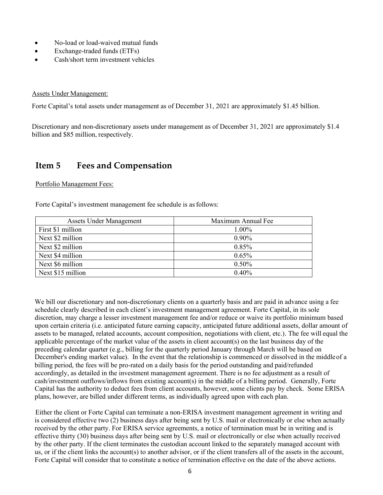- No-load or load-waived mutual funds
- Exchange-traded funds (ETFs)
- Cash/short term investment vehicles

### Assets Under Management:

Forte Capital's total assets under management as of December 31, 2021 are approximately \$1.45 billion.

Discretionary and non-discretionary assets under management as of December 31, 2021 are approximately \$1.4 billion and \$85 million, respectively.

## <span id="page-5-0"></span>**Item 5 Fees and Compensation**

### Portfolio Management Fees:

Forte Capital's investment management fee schedule is as follows:

| <b>Assets Under Management</b> | Maximum Annual Fee |
|--------------------------------|--------------------|
| First \$1 million              | 1.00%              |
| Next \$2 million               | $0.90\%$           |
| Next \$2 million               | 0.85%              |
| Next \$4 million               | 0.65%              |
| Next \$6 million               | 0.50%              |
| Next \$15 million              | 0.40%              |

We bill our discretionary and non-discretionary clients on a quarterly basis and are paid in advance using a fee schedule clearly described in each client's investment management agreement. Forte Capital, in its sole discretion, may charge a lesser investment management fee and/or reduce or waive its portfolio minimum based upon certain criteria (i.e. anticipated future earning capacity, anticipated future additional assets, dollar amount of assets to be managed, related accounts, account composition, negotiations with client, etc.). The fee will equal the applicable percentage of the market value of the assets in client account(s) on the last business day of the preceding calendar quarter (e.g., billing for the quarterly period January through March will be based on December's ending market value). In the event that the relationship is commenced or dissolved in the middle of a billing period, the fees will be pro-rated on a daily basis for the period outstanding and paid/refunded accordingly, as detailed in the investment management agreement. There is no fee adjustment as a result of cash/investment outflows/inflows from existing account(s) in the middle of a billing period. Generally, Forte Capital has the authority to deduct fees from client accounts, however, some clients pay by check. Some ERISA plans, however, are billed under different terms, as individually agreed upon with each plan.

 Either the client or Forte Capital can terminate a non-ERISA investment management agreement in writing and is considered effective two (2) business days after being sent by U.S. mail or electronically or else when actually received by the other party. For ERISA service agreements, a notice of termination must be in writing and is effective thirty (30) business days after being sent by U.S. mail or electronically or else when actually received by the other party. If the client terminates the custodian account linked to the separately managed account with us, or if the client links the account(s) to another advisor, or if the client transfers all of the assets in the account, Forte Capital will consider that to constitute a notice of termination effective on the date of the above actions.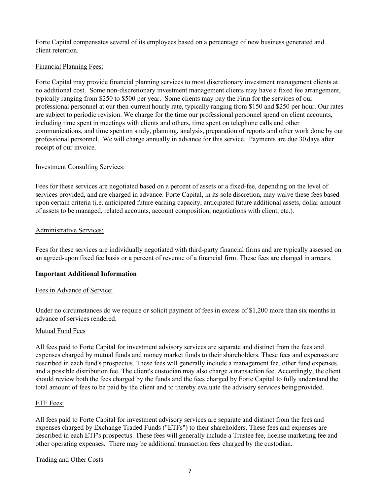Forte Capital compensates several of its employees based on a percentage of new business generated and client retention.

## Financial Planning Fees:

Forte Capital may provide financial planning services to most discretionary investment management clients at no additional cost. Some non-discretionary investment management clients may have a fixed fee arrangement, typically ranging from \$250 to \$500 per year. Some clients may pay the Firm for the services of our professional personnel at our then-current hourly rate, typically ranging from \$150 and \$250 per hour. Our rates are subject to periodic revision. We charge for the time our professional personnel spend on client accounts, including time spent in meetings with clients and others, time spent on telephone calls and other communications, and time spent on study, planning, analysis, preparation of reports and other work done by our professional personnel. We will charge annually in advance for this service. Payments are due 30 days after receipt of our invoice.

### Investment Consulting Services:

Fees for these services are negotiated based on a percent of assets or a fixed-fee, depending on the level of services provided, and are charged in advance. Forte Capital, in its sole discretion, may waive these fees based upon certain criteria (i.e. anticipated future earning capacity, anticipated future additional assets, dollar amount of assets to be managed, related accounts, account composition, negotiations with client, etc.).

## Administrative Services:

Fees for these services are individually negotiated with third-party financial firms and are typically assessed on an agreed-upon fixed fee basis or a percent of revenue of a financial firm. These fees are charged in arrears.

## **Important Additional Information**

### Fees in Advance of Service:

Under no circumstances do we require or solicit payment of fees in excess of \$1,200 more than six months in advance of services rendered.

### Mutual Fund Fees

All fees paid to Forte Capital for investment advisory services are separate and distinct from the fees and expenses charged by mutual funds and money market funds to their shareholders. These fees and expenses are described in each fund's prospectus. These fees will generally include a management fee, other fund expenses, and a possible distribution fee. The client's custodian may also charge a transaction fee. Accordingly, the client should review both the fees charged by the funds and the fees charged by Forte Capital to fully understand the total amount of fees to be paid by the client and to thereby evaluate the advisory services being provided.

### ETF Fees:

All fees paid to Forte Capital for investment advisory services are separate and distinct from the fees and expenses charged by Exchange Traded Funds ("ETFs") to their shareholders. These fees and expenses are described in each ETF's prospectus. These fees will generally include a Trustee fee, license marketing fee and other operating expenses. There may be additional transaction fees charged by the custodian.

### Trading and Other Costs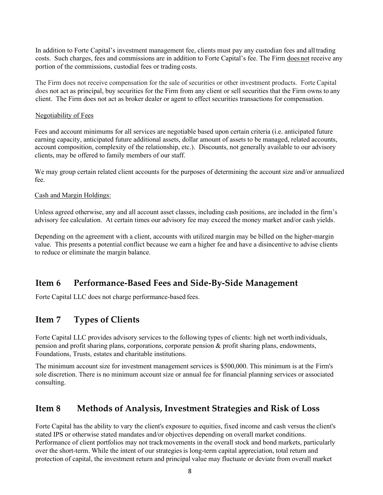In addition to Forte Capital's investment management fee, clients must pay any custodian fees and alltrading costs. Such charges, fees and commissions are in addition to Forte Capital's fee. The Firm does not receive any portion of the commissions, custodial fees or trading costs.

The Firm does not receive compensation for the sale of securities or other investment products. Forte Capital does not act as principal, buy securities for the Firm from any client or sell securities that the Firm owns to any client. The Firm does not act as broker dealer or agent to effect securities transactions for compensation.

### Negotiability of Fees

Fees and account minimums for all services are negotiable based upon certain criteria (i.e. anticipated future earning capacity, anticipated future additional assets, dollar amount of assets to be managed, related accounts, account composition, complexity of the relationship, etc.). Discounts, not generally available to our advisory clients, may be offered to family members of our staff.

We may group certain related client accounts for the purposes of determining the account size and/or annualized fee.

### Cash and Margin Holdings:

Unless agreed otherwise, any and all account asset classes, including cash positions, are included in the firm's advisory fee calculation. At certain times our advisory fee may exceed the money market and/or cash yields.

Depending on the agreement with a client, accounts with utilized margin may be billed on the higher-margin value. This presents a potential conflict because we earn a higher fee and have a disincentive to advise clients to reduce or eliminate the margin balance.

## <span id="page-7-0"></span>**Item 6 Performance-Based Fees and Side-By-Side Management**

Forte Capital LLC does not charge performance-based fees.

## <span id="page-7-1"></span>**Item 7 Types of Clients**

Forte Capital LLC provides advisory services to the following types of clients: high net worth individuals, pension and profit sharing plans, corporations, corporate pension & profit sharing plans, endowments, Foundations, Trusts, estates and charitable institutions.

The minimum account size for investment management services is \$500,000. This minimum is at the Firm's sole discretion. There is no minimum account size or annual fee for financial planning services or associated consulting.

## <span id="page-7-2"></span>**Item 8 Methods of Analysis, Investment Strategies and Risk of Loss**

Forte Capital has the ability to vary the client's exposure to equities, fixed income and cash versus the client's stated IPS or otherwise stated mandates and/or objectives depending on overall market conditions. Performance of client portfolios may not trackmovements in the overall stock and bond markets, particularly over the short-term. While the intent of our strategiesis long-term capital appreciation, total return and protection of capital, the investment return and principal value may fluctuate or deviate from overall market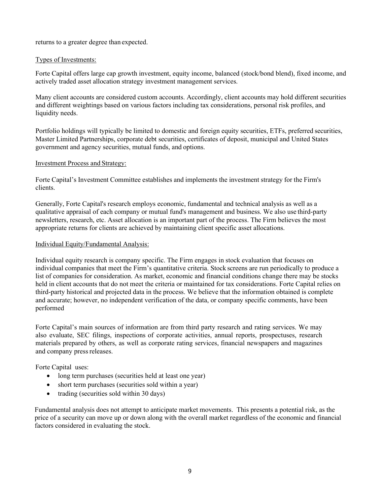returns to a greater degree than expected.

## Types of Investments:

Forte Capital offers large cap growth investment, equity income, balanced (stock/bond blend), fixed income, and actively traded asset allocation strategy investment management services.

Many client accounts are considered custom accounts. Accordingly, client accounts may hold different securities and different weightings based on various factors including tax considerations, personal risk profiles, and liquidity needs.

Portfolio holdings will typically be limited to domestic and foreign equity securities, ETFs, preferred securities, Master Limited Partnerships, corporate debt securities, certificates of deposit, municipal and United States government and agency securities, mutual funds, and options.

## Investment Process and Strategy:

Forte Capital's Investment Committee establishes and implements the investment strategy for the Firm's clients.

Generally, Forte Capital's research employs economic, fundamental and technical analysis as well as a qualitative appraisal of each company or mutual fund's management and business. We also use third-party newsletters, research, etc. Asset allocation is an important part of the process. The Firm believes the most appropriate returns for clients are achieved by maintaining client specific asset allocations.

## Individual Equity/Fundamental Analysis:

Individual equity research is company specific. The Firm engages in stock evaluation that focuses on individual companies that meet the Firm's quantitative criteria. Stock screens are run periodically to produce a list of companies for consideration. As market, economic and financial conditions change there may be stocks held in client accounts that do not meet the criteria or maintained for tax considerations. Forte Capital relies on third-party historical and projected data in the process. We believe that the information obtained is complete and accurate; however, no independent verification of the data, or company specific comments, have been performed

Forte Capital's main sources of information are from third party research and rating services. We may also evaluate, SEC filings, inspections of corporate activities, annual reports, prospectuses, research materials prepared by others, as well as corporate rating services, financial newspapers and magazines and company press releases.

Forte Capital uses:

- long term purchases (securities held at least one year)
- short term purchases (securities sold within a year)
- trading (securities sold within 30 days)

Fundamental analysis does not attempt to anticipate market movements. This presents a potential risk, as the price of a security can move up or down along with the overall market regardless of the economic and financial factors considered in evaluating the stock.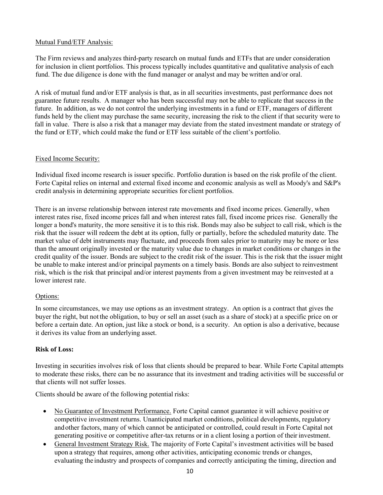## Mutual Fund/ETF Analysis:

The Firm reviews and analyzes third-party research on mutual funds and ETFs that are under consideration for inclusion in client portfolios. This process typically includes quantitative and qualitative analysis of each fund. The due diligence is done with the fund manager or analyst and may be written and/or oral.

A risk of mutual fund and/or ETF analysis is that, as in all securities investments, past performance does not guarantee future results. A manager who has been successful may not be able to replicate that success in the future. In addition, as we do not control the underlying investments in a fund or ETF, managers of different funds held by the client may purchase the same security, increasing the risk to the client if that security were to fall in value. There is also a risk that a manager may deviate from the stated investment mandate or strategy of the fund or ETF, which could make the fund or ETF less suitable of the client's portfolio.

## Fixed Income Security:

Individual fixed income research is issuer specific. Portfolio duration is based on the risk profile of the client. Forte Capital relies on internal and external fixed income and economic analysis as well as Moody's and S&P's credit analysis in determining appropriate securities for client portfolios.

There is an inverse relationship between interest rate movements and fixed income prices. Generally, when interest rates rise, fixed income prices fall and when interest rates fall, fixed income prices rise. Generally the longer a bond's maturity, the more sensitive it is to this risk. Bonds may also be subject to call risk, which is the risk that the issuer will redeem the debt at its option, fully or partially, before the scheduled maturity date. The market value of debt instruments may fluctuate, and proceeds from sales prior to maturity may be more or less than the amount originally invested or the maturity value due to changes in market conditions or changes in the credit quality of the issuer. Bonds are subject to the credit risk of the issuer. This is the risk that the issuer might be unable to make interest and/or principal payments on a timely basis. Bonds are also subject to reinvestment risk, which is the risk that principal and/or interest payments from a given investment may be reinvested at a lower interest rate.

## Options:

In some circumstances, we may use options as an investment strategy. An option is a contract that gives the buyer the right, but not the obligation, to buy or sell an asset (such as a share of stock) at a specific price on or before a certain date. An option, just like a stock or bond, is a security. An option is also a derivative, because it derives its value from an underlying asset.

## **Risk of Loss:**

Investing in securities involves risk of loss that clients should be prepared to bear. While Forte Capital attempts to moderate these risks, there can be no assurance that its investment and trading activities will be successful or that clients will not suffer losses.

Clients should be aware of the following potential risks:

- No Guarantee of Investment Performance. Forte Capital cannot guarantee it will achieve positive or competitive investment returns. Unanticipated market conditions, political developments, regulatory andother factors, many of which cannot be anticipated or controlled, could result in Forte Capital not generating positive or competitive after-tax returns or in a client losing a portion of their investment.
- General Investment Strategy Risk. The majority of Forte Capital's investment activities will be based upon a strategy that requires, among other activities, anticipating economic trends or changes, evaluating the industry and prospects of companies and correctly anticipating the timing, direction and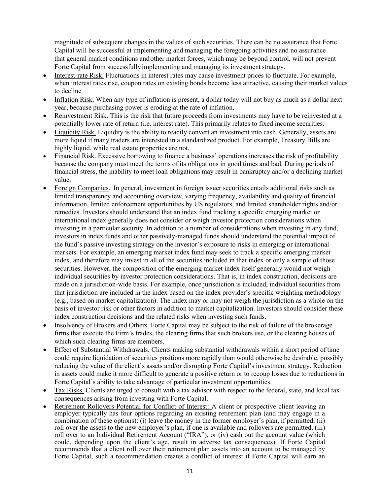magnitude of subsequent changes in the values of such securities. There can be no assurance that Forte Capital will be successful at implementing and managing the foregoing activities and no assurance that general market conditions andother market forces, which may be beyond control, will not prevent Forte Capital from successfully implementing and managing its investment strategy.

- Interest-rate Risk. Fluctuations in interest rates may cause investment prices to fluctuate. For example, when interest rates rise, coupon rates on existing bonds become less attractive, causing their market values to decline
- Inflation Risk. When any type of inflation is present, a dollar today will not buy as much as a dollar next year, because purchasing power is eroding at the rate of inflation.
- Reinvestment Risk. This is the risk that future proceeds from investments may have to be reinvested at a potentially lower rate of return (i.e. interest rate). This primarily relates to fixed income securities.
- Liquidity Risk. Liquidity is the ability to readily convert an investment into cash. Generally, assets are more liquid if many traders are interested in a standardized product. For example, Treasury Bills are highly liquid, while real estate properties are not.
- Financial Risk. Excessive borrowing to finance a business' operations increases the risk of profitability because the company must meet the terms of its obligations in good times and bad. During periods of financial stress, the inability to meet loan obligations may result in bankruptcy and/or a declining market value.
- Foreign Companies. In general, investment in foreign issuer securities entails additional risks such as limited transparency and accounting overview, varying frequency, availability and quality of financial information, limited enforcement opportunities by US regulators, and limited shareholder rights and/or remedies. Investors should understand that an index fund tracking a specific emerging market or international index generally does not consider or weigh investor protection considerations when investing in a particular security. In addition to a number of considerations when investing in any fund, investors in index funds and other passively-managed funds should understand the potential impact of the fund's passive investing strategy on the investor's exposure to risks in emerging or international markets. For example, an emerging market index fund may seek to track a specific emerging market index, and therefore may invest in all of the securities included in that index or only a sample of those securities. However, the composition of the emerging market index itself generally would not weigh individual securities by investor protection considerations. That is, in index construction, decisions are made on a jurisdiction-wide basis. For example, once jurisdiction is included, individual securities from that jurisdiction are included in the index based on the index provider's specific weighting methodology (e.g., based on market capitalization). The index may or may not weigh the jurisdiction as a whole on the basis of investor risk or other factors in addition to market capitalization. Investors should consider these index construction decisions and the related risks when investing such funds.
- Insolvency of Brokers and Others. Forte Capital may be subject to the risk of failure of the brokerage firms that execute the Firm's trades, the clearing firms that such brokers use, or the clearing houses of which such clearing firms are members.
- Effect of Substantial Withdrawals. Clients making substantial withdrawals within a short period of time could require liquidation of securities positions more rapidly than would otherwise be desirable, possibly reducing the value of the client's assets and/or disrupting Forte Capital's investment strategy. Reduction in assets could make it more difficult to generate a positive return or to recoup losses due to reductions in Forte Capital's ability to take advantage of particular investment opportunities.
- Tax Risks. Clients are urged to consult with a tax advisor with respect to the federal, state, and local tax consequences arising from investing with Forte Capital.
- Retirement Rollovers-Potential for Conflict of Interest: A client or prospective client leaving an employer typically has four options regarding an existing retirement plan (and may engage in a combination of these options): (i) leave the money in the former employer's plan, if permitted, (ii) roll over the assets to the new employer's plan, if one is available and rollovers are permitted, (iii) roll over to an Individual Retirement Account ("IRA"), or (iv) cash out the account value (which could, depending upon the client's age, result in adverse tax consequences). If Forte Capital recommends that a client roll over their retirement plan assets into an account to be managed by Forte Capital, such a recommendation creates a conflict of interest if Forte Capital will earn an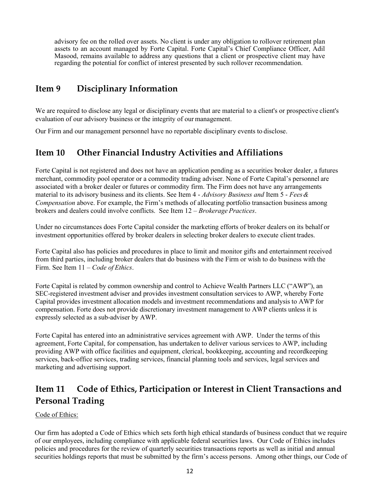advisory fee on the rolled over assets. No client is under any obligation to rollover retirement plan assets to an account managed by Forte Capital. Forte Capital's Chief Compliance Officer, Adil Masood, remains available to address any questions that a client or prospective client may have regarding the potential for conflict of interest presented by such rollover recommendation.

## <span id="page-11-0"></span>**Item 9 Disciplinary Information**

We are required to disclose any legal or disciplinary events that are material to a client's or prospective client's evaluation of our advisory business or the integrity of our management.

<span id="page-11-1"></span>Our Firm and our management personnel have no reportable disciplinary events to disclose.

## **Item 10 Other Financial Industry Activities and Affiliations**

Forte Capital is not registered and does not have an application pending as a securities broker dealer, a futures merchant, commodity pool operator or a commodity trading adviser. None of Forte Capital's personnel are associated with a broker dealer or futures or commodity firm. The Firm does not have any arrangements material to its advisory business and its clients. See Item 4 - *Advisory Business and* Item 5 - *Fees& Compensation* above. For example, the Firm's methods of allocating portfolio transaction business among brokers and dealers could involve conflicts. See Item 12 *– Brokerage Practices*.

Under no circumstances does Forte Capital consider the marketing efforts of broker dealers on its behalf or investment opportunities offered by broker dealers in selecting broker dealers to execute client trades.

Forte Capital also has policies and procedures in place to limit and monitor gifts and entertainment received from third parties, including broker dealers that do business with the Firm or wish to do business with the Firm. See Item 11 – *Code of Ethics*.

Forte Capital is related by common ownership and control to Achieve Wealth Partners LLC ("AWP"), an SEC-registered investment adviser and provides investment consultation services to AWP, whereby Forte Capital provides investment allocation models and investment recommendations and analysis to AWP for compensation. Forte does not provide discretionary investment management to AWP clients unless it is expressly selected as a sub-adviser by AWP.

Forte Capital has entered into an administrative services agreement with AWP. Under the terms of this agreement, Forte Capital, for compensation, has undertaken to deliver various services to AWP, including providing AWP with office facilities and equipment, clerical, bookkeeping, accounting and recordkeeping services, back-office services, trading services, financial planning tools and services, legal services and marketing and advertising support.

## <span id="page-11-2"></span>**Item 11 Code of Ethics, Participation or Interest in Client Transactions and Personal Trading**

## Code of Ethics:

Our firm has adopted a Code of Ethics which sets forth high ethical standards of business conduct that we require of our employees, including compliance with applicable federal securities laws. Our Code of Ethics includes policies and procedures for the review of quarterly securities transactions reports as well as initial and annual securities holdings reports that must be submitted by the firm's access persons. Among other things, our Code of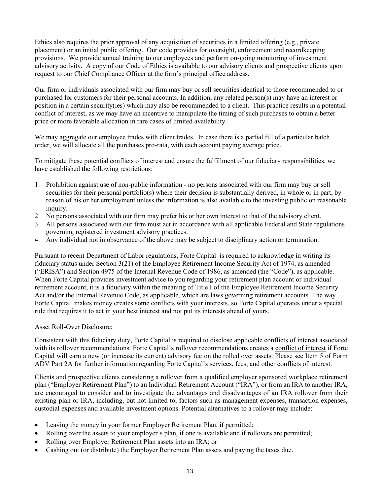Ethics also requires the prior approval of any acquisition of securities in a limited offering (e.g., private placement) or an initial public offering. Our code provides for oversight, enforcement and recordkeeping provisions. We provide annual training to our employees and perform on-going monitoring of investment advisory activity. A copy of our Code of Ethics is available to our advisory clients and prospective clients upon request to our Chief Compliance Officer at the firm's principal office address.

Our firm or individuals associated with our firm may buy or sell securities identical to those recommended to or purchased for customers for their personal accounts. In addition, any related person(s) may have an interest or position in a certain security(ies) which may also be recommended to a client. This practice results in a potential conflict of interest, as we may have an incentive to manipulate the timing of such purchases to obtain a better price or more favorable allocation in rare cases of limited availability.

We may aggregate our employee trades with client trades. In case there is a partial fill of a particular batch order, we will allocate all the purchases pro-rata, with each account paying average price.

To mitigate these potential conflicts of interest and ensure the fulfillment of our fiduciary responsibilities, we have established the following restrictions:

- 1. Prohibition against use of non-public information no persons associated with our firm may buy or sell securities for their personal portfolio(s) where their decision is substantially derived, in whole or in part, by reason of his or her employment unless the information is also available to the investing public on reasonable inquiry.
- 2. No persons associated with our firm may prefer his or her own interest to that of the advisory client.
- 3. All persons associated with our firm must act in accordance with all applicable Federal and State regulations governing registered investment advisory practices.
- 4. Any individual not in observance of the above may be subject to disciplinary action or termination.

Pursuant to recent Department of Labor regulations, Forte Capital is required to acknowledge in writing its fiduciary status under Section 3(21) of the Employee Retirement Income Security Act of 1974, as amended ("ERISA") and Section 4975 of the Internal Revenue Code of 1986, as amended (the "Code"), as applicable. When Forte Capital provides investment advice to you regarding your retirement plan account or individual retirement account, it is a fiduciary within the meaning of Title I of the Employee Retirement Income Security Act and/or the Internal Revenue Code, as applicable, which are laws governing retirement accounts. The way Forte Capital makes money creates some conflicts with your interests, so Forte Capital operates under a special rule that requires it to act in your best interest and not put its interests ahead of yours.

## Asset Roll-Over Disclosure:

Consistent with this fiduciary duty, Forte Capital is required to disclose applicable conflicts of interest associated with its rollover recommendations. Forte Capital's rollover recommendations creates a conflict of interest if Forte Capital will earn a new (or increase its current) advisory fee on the rolled over assets. Please see Item 5 of Form ADV Part 2A for further information regarding Forte Capital's services, fees, and other conflicts of interest.

Clients and prospective clients considering a rollover from a qualified employer sponsored workplace retirement plan ("Employer Retirement Plan") to an Individual Retirement Account ("IRA"), or from an IRA to another IRA, are encouraged to consider and to investigate the advantages and disadvantages of an IRA rollover from their existing plan or IRA, including, but not limited to, factors such as management expenses, transaction expenses, custodial expenses and available investment options. Potential alternatives to a rollover may include:

- Leaving the money in your former Employer Retirement Plan, if permitted;
- Rolling over the assets to your employer's plan, if one is available and if rollovers are permitted;
- Rolling over Employer Retirement Plan assets into an IRA; or
- Cashing out (or distribute) the Employer Retirement Plan assets and paying the taxes due.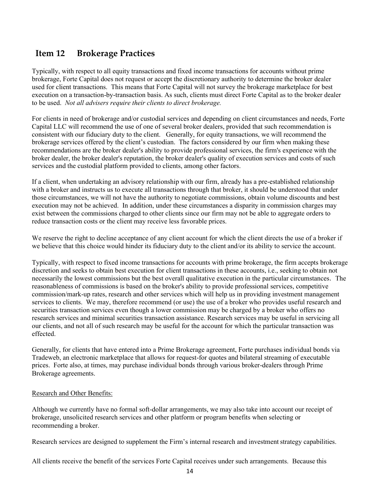## <span id="page-13-0"></span>**Item 12 Brokerage Practices**

Typically, with respect to all equity transactions and fixed income transactions for accounts without prime brokerage, Forte Capital does not request or accept the discretionary authority to determine the broker dealer used for client transactions. This means that Forte Capital will not survey the brokerage marketplace for best execution on a transaction-by-transaction basis. As such, clients must direct Forte Capital as to the broker dealer to be used. *Not all advisers require their clients to direct brokerage.*

For clients in need of brokerage and/or custodial services and depending on client circumstances and needs, Forte Capital LLC will recommend the use of one of several broker dealers, provided that such recommendation is consistent with our fiduciary duty to the client. Generally, for equity transactions, we will recommend the brokerage services offered by the client's custodian. The factors considered by our firm when making these recommendations are the broker dealer's ability to provide professional services, the firm's experience with the broker dealer, the broker dealer's reputation, the broker dealer's quality of execution services and costs of such services and the custodial platform provided to clients, among other factors.

If a client, when undertaking an advisory relationship with our firm, already has a pre-established relationship with a broker and instructs us to execute all transactions through that broker, it should be understood that under those circumstances, we will not have the authority to negotiate commissions, obtain volume discounts and best execution may not be achieved. In addition, under these circumstances a disparity in commission charges may exist between the commissions charged to other clients since our firm may not be able to aggregate orders to reduce transaction costs or the client may receive less favorable prices.

We reserve the right to decline acceptance of any client account for which the client directs the use of a broker if we believe that this choice would hinder its fiduciary duty to the client and/or its ability to service the account.

Typically, with respect to fixed income transactions for accounts with prime brokerage, the firm accepts brokerage discretion and seeks to obtain best execution for client transactions in these accounts, i.e., seeking to obtain not necessarily the lowest commissions but the best overall qualitative execution in the particular circumstances. The reasonableness of commissions is based on the broker's ability to provide professional services, competitive commission/mark-up rates, research and other services which will help us in providing investment management services to clients. We may, therefore recommend (or use) the use of a broker who provides useful research and securities transaction services even though a lower commission may be charged by a broker who offers no research services and minimal securities transaction assistance. Research services may be useful in servicing all our clients, and not all of such research may be useful for the account for which the particular transaction was effected.

Generally, for clients that have entered into a Prime Brokerage agreement, Forte purchases individual bonds via Tradeweb, an electronic marketplace that allows for request-for quotes and bilateral streaming of executable prices. Forte also, at times, may purchase individual bonds through various broker-dealers through Prime Brokerage agreements.

### Research and Other Benefits:

Although we currently have no formal soft-dollar arrangements, we may also take into account our receipt of brokerage, unsolicited research services and other platform or program benefits when selecting or recommending a broker.

Research services are designed to supplement the Firm's internal research and investment strategy capabilities.

All clients receive the benefit of the services Forte Capital receives under such arrangements. Because this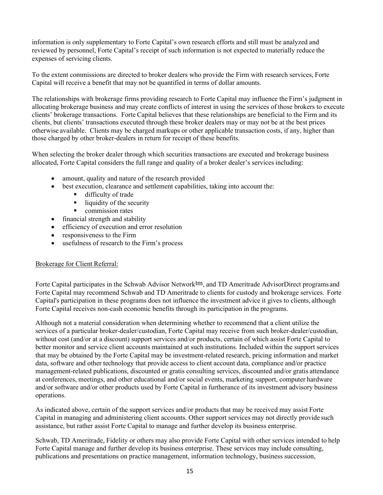information is only supplementary to Forte Capital's own research efforts and still must be analyzed and reviewed by personnel, Forte Capital's receipt of such information is not expected to materially reduce the expenses of servicing clients.

To the extent commissions are directed to broker dealers who provide the Firm with research services, Forte Capital will receive a benefit that may not be quantified in terms of dollar amounts.

The relationships with brokerage firms providing research to Forte Capital may influence the Firm's judgment in allocating brokerage business and may create conflicts of interest in using the services of those brokers to execute clients' brokerage transactions. Forte Capital believes that these relationships are beneficial to the Firm and its clients, but clients' transactions executed through these broker dealers may or may not be at the best prices otherwise available. Clients may be charged markups or other applicable transaction costs, if any, higher than those charged by other broker-dealers in return for receipt of these benefits.

When selecting the broker dealer through which securities transactions are executed and brokerage business allocated, Forte Capital considers the full range and quality of a broker dealer's services including:

- amount, quality and nature of the research provided
- best execution, clearance and settlement capabilities, taking into account the:
	- difficulty of trade
	- liquidity of the security
	- commission rates
- financial strength and stability
- efficiency of execution and error resolution
- responsiveness to the Firm
- usefulness of research to the Firm's process

### Brokerage for Client Referral:

Forte Capital participates in the Schwab Advisor Networktm, and TD Ameritrade AdvisorDirect programs and Forte Capital may recommend Schwab and TD Ameritrade to clients for custody and brokerage services. Forte Capital's participation in these programs does not influence the investment advice it gives to clients, although Forte Capital receives non-cash economic benefits through its participation in the programs.

Although not a material consideration when determining whether to recommend that a client utilize the services of a particular broker-dealer/custodian, Forte Capital may receive from such broker-dealer/custodian, without cost (and/or at a discount) support services and/or products, certain of which assist Forte Capital to better monitor and service client accounts maintained at such institutions. Included within the support services that may be obtained by the Forte Capital may be investment-related research, pricing information and market data, software and other technology that provide access to client account data, compliance and/or practice management-related publications, discounted or gratis consulting services, discounted and/or gratis attendance at conferences, meetings, and other educational and/or social events, marketing support, computer hardware and/or software and/or other products used by Forte Capital in furtherance of its investment advisory business operations.

As indicated above, certain of the support services and/or products that may be received may assist Forte Capital in managing and administering client accounts. Other support services may not directly provide such assistance, but rather assist Forte Capital to manage and further develop its business enterprise.

Schwab, TD Ameritrade, Fidelity or others may also provide Forte Capital with other services intended to help Forte Capital manage and further develop its business enterprise. These services may include consulting, publications and presentations on practice management, information technology, business succession,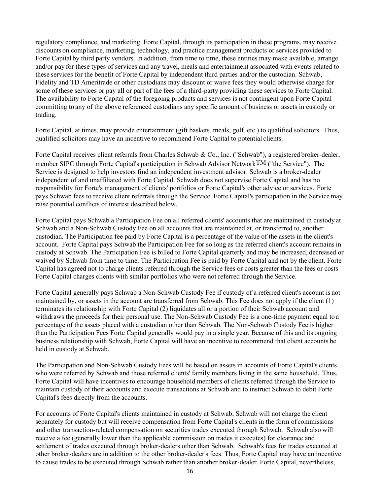regulatory compliance, and marketing. Forte Capital, through its participation in these programs, may receive discounts on compliance, marketing, technology, and practice management products or services provided to Forte Capital by third party vendors. In addition, from time to time, these entities may make available, arrange and/or pay for these types of services and any travel, meals and entertainment associated with events related to these services for the benefit of Forte Capital by independent third parties and/or the custodian. Schwab, Fidelity and TD Ameritrade or other custodians may discount or waive fees they would otherwise charge for some of these services or pay all or part of the fees of a third-party providing these services to Forte Capital. The availability to Forte Capital of the foregoing products and services is not contingent upon Forte Capital committing to any of the above referenced custodians any specific amount of business or assets in custody or trading.

Forte Capital, at times, may provide entertainment (gift baskets, meals, golf, etc.) to qualified solicitors. Thus, qualified solicitors may have an incentive to recommend Forte Capital to potential clients.

Forte Capital receives client referrals from Charles Schwab & Co., Inc. ("Schwab"), a registered broker-dealer, member SIPC through Forte Capital's participation in Schwab Advisor NetworkTM ("the Service"). The Service is designed to help investors find an independent investment advisor. Schwab is a broker-dealer independent of and unaffiliated with Forte Capital. Schwab does not supervise Forte Capital and has no responsibility for Forte's management of clients' portfolios or Forte Capital's other advice or services. Forte pays Schwab fees to receive client referrals through the Service. Forte Capital's participation in the Service may raise potential conflicts of interest described below.

Forte Capital pays Schwab a Participation Fee on all referred clients' accounts that are maintained in custody at Schwab and a Non-Schwab Custody Fee on all accounts that are maintained at, or transferred to, another custodian. The Participation fee paid by Forte Capital is a percentage of the value of the assets in the client's account. Forte Capital pays Schwab the Participation Fee for so long as the referred client's account remainsin custody at Schwab. The Participation Fee is billed to Forte Capital quarterly and may be increased, decreased or waived by Schwab from time to time. The Participation Fee is paid by Forte Capital and not by the client. Forte Capital has agreed not to charge clients referred through the Service fees or costs greater than the fees or costs Forte Capital charges clients with similar portfolios who were not referred through the Service.

Forte Capital generally pays Schwab a Non-Schwab Custody Fee if custody of a referred client's account is not maintained by, or assets in the account are transferred from Schwab. This Fee does not apply if the client (1) terminates its relationship with Forte Capital (2) liquidates all or a portion of their Schwab account and withdraws the proceeds for their personal use. The Non-Schwab Custody Fee is a one-time payment equal to a percentage of the assets placed with a custodian other than Schwab. The Non-Schwab Custody Fee is higher than the Participation Fees Forte Capital generally would pay in a single year. Because of this and its ongoing business relationship with Schwab, Forte Capital will have an incentive to recommend that client accounts be held in custody at Schwab.

The Participation and Non-Schwab Custody Fees will be based on assets in accounts of Forte Capital's clients who were referred by Schwab and those referred clients' family members living in the same household. Thus, Forte Capital will have incentives to encourage household members of clients referred through the Service to maintain custody of their accounts and execute transactions at Schwab and to instruct Schwab to debit Forte Capital's fees directly from the accounts.

For accounts of Forte Capital's clients maintained in custody at Schwab, Schwab will not charge the client separately for custody but will receive compensation from Forte Capital's clients in the form of commissions and other transaction-related compensation on securities trades executed through Schwab. Schwab also will receive a fee (generally lower than the applicable commission on trades it executes) for clearance and settlement of trades executed through broker-dealers other than Schwab. Schwab's fees for trades executed at other broker-dealers are in addition to the other broker-dealer's fees. Thus, Forte Capital may have an incentive to cause trades to be executed through Schwab rather than another broker-dealer. Forte Capital, nevertheless,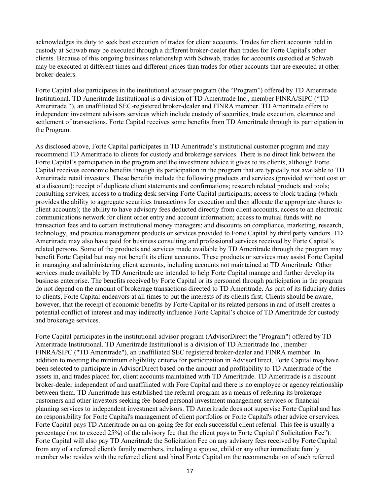acknowledges its duty to seek best execution of trades for client accounts. Trades for client accounts held in custody at Schwab may be executed through a different broker-dealer than trades for Forte Capital's other clients. Because of this ongoing business relationship with Schwab, trades for accounts custodied at Schwab may be executed at different times and different prices than trades for other accounts that are executed at other broker-dealers.

Forte Capital also participates in the institutional advisor program (the "Program") offered by TD Ameritrade Institutional. TD Ameritrade Institutional is a division of TD Ameritrade Inc., member FINRA/SIPC ("TD Ameritrade "), an unaffiliated SEC-registered broker-dealer and FINRA member. TD Ameritrade offers to independent investment advisors services which include custody of securities, trade execution, clearance and settlement of transactions. Forte Capital receives some benefits from TD Ameritrade through its participation in the Program.

As disclosed above, Forte Capital participates in TD Ameritrade's institutional customer program and may recommend TD Ameritrade to clients for custody and brokerage services. There is no direct link between the Forte Capital's participation in the program and the investment advice it gives to its clients, although Forte Capital receives economic benefits through its participation in the program that are typically not available to TD Ameritrade retail investors. These benefits include the following products and services (provided without cost or at a discount): receipt of duplicate client statements and confirmations; research related products and tools; consulting services; access to a trading desk serving Forte Capital participants; access to block trading (which provides the ability to aggregate securities transactions for execution and then allocate the appropriate shares to client accounts); the ability to have advisory fees deducted directly from client accounts; access to an electronic communications network for client order entry and account information; access to mutual funds with no transaction fees and to certain institutional money managers; and discounts on compliance, marketing, research, technology, and practice management products or services provided to Forte Capital by third party vendors. TD Ameritrade may also have paid for business consulting and professional services received by Forte Capital's related persons. Some of the products and services made available by TD Ameritrade through the program may benefit Forte Capital but may not benefit its client accounts. These products or services may assist Forte Capital in managing and administering client accounts, including accounts not maintained at TD Ameritrade. Other services made available by TD Ameritrade are intended to help Forte Capital manage and further develop its business enterprise. The benefits received by Forte Capital or its personnel through participation in the program do not depend on the amount of brokerage transactions directed to TD Ameritrade. As part of its fiduciary duties to clients, Forte Capital endeavors at all times to put the interests of its clients first. Clients should be aware, however, that the receipt of economic benefits by Forte Capital or its related persons in and of itself creates a potential conflict of interest and may indirectly influence Forte Capital's choice of TD Ameritrade for custody and brokerage services.

Forte Capital participates in the institutional advisor program (AdvisorDirect the "Program") offered by TD Ameritrade Institutional. TD Ameritrade Institutional is a division of TD Ameritrade Inc., member FINRA/SIPC ("TD Ameritrade"), an unaffiliated SEC registered broker-dealer and FINRA member. In addition to meeting the minimum eligibility criteria for participation in AdvisorDirect, Forte Capital may have been selected to participate in AdvisorDirect based on the amount and profitability to TD Ameritrade of the assets in, and trades placed for, client accounts maintained with TD Ameritrade. TD Ameritrade is a discount broker-dealer independent of and unaffiliated with Fore Capital and there is no employee or agency relationship between them. TD Ameritrade has established the referral program as a means of referring its brokerage customers and other investors seeking fee-based personal investment management services or financial planning services to independent investment advisors. TD Ameritrade does not supervise Forte Capital and has no responsibility for Forte Capital's management of client portfolios or Forte Capital's other advice orservices. Forte Capital pays TD Ameritrade on an on-going fee for each successful client referral. This fee is usually a percentage (not to exceed 25%) of the advisory fee that the client pays to Forte Capital ("Solicitation Fee"). Forte Capital will also pay TD Ameritrade the Solicitation Fee on any advisory fees received by Forte Capital from any of a referred client's family members, including a spouse, child or any other immediate family member who resides with the referred client and hired Forte Capital on the recommendation of such referred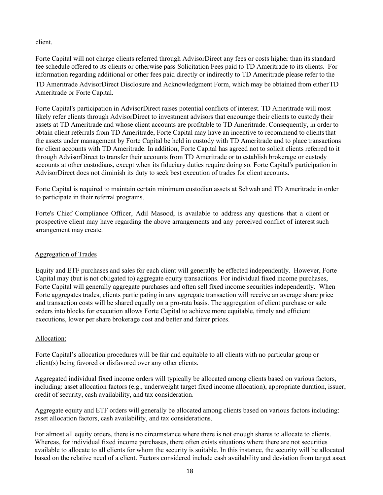client.

Forte Capital will not charge clients referred through AdvisorDirect any fees or costs higher than its standard fee schedule offered to its clients or otherwise pass Solicitation Fees paid to TD Ameritrade to its clients. For information regarding additional or other fees paid directly or indirectly to TD Ameritrade please refer to the TD Ameritrade AdvisorDirect Disclosure and Acknowledgment Form, which may be obtained from eitherTD Ameritrade or Forte Capital.

Forte Capital's participation in AdvisorDirect raises potential conflicts of interest. TD Ameritrade will most likely refer clients through AdvisorDirect to investment advisors that encourage their clients to custody their assets at TD Ameritrade and whose client accounts are profitable to TD Ameritrade. Consequently, in order to obtain client referrals from TD Ameritrade, Forte Capital may have an incentive to recommend to clients that the assets under management by Forte Capital be held in custody with TD Ameritrade and to place transactions for client accounts with TD Ameritrade. In addition, Forte Capital has agreed not to solicit clients referred to it through AdvisorDirect to transfer their accounts from TD Ameritrade or to establish brokerage or custody accounts at other custodians, except when its fiduciary duties require doing so. Forte Capital's participation in AdvisorDirect does not diminish its duty to seek best execution of trades for client accounts.

Forte Capital is required to maintain certain minimum custodian assets at Schwab and TD Ameritrade in order to participate in their referral programs.

Forte's Chief Compliance Officer, Adil Masood, is available to address any questions that a client or prospective client may have regarding the above arrangements and any perceived conflict of interest such arrangement may create.

## Aggregation of Trades

Equity and ETF purchases and sales for each client will generally be effected independently. However, Forte Capital may (but is not obligated to) aggregate equity transactions. For individual fixed income purchases, Forte Capital will generally aggregate purchases and often sell fixed income securities independently. When Forte aggregates trades, clients participating in any aggregate transaction will receive an average share price and transaction costs will be shared equally on a pro-rata basis. The aggregation of client purchase or sale orders into blocks for execution allows Forte Capital to achieve more equitable, timely and efficient executions, lower per share brokerage cost and better and fairer prices.

## Allocation:

Forte Capital's allocation procedures will be fair and equitable to all clients with no particular group or client(s) being favored or disfavored over any other clients.

Aggregated individual fixed income orders will typically be allocated among clients based on various factors, including: asset allocation factors (e.g., underweight target fixed income allocation), appropriate duration, issuer, credit of security, cash availability, and tax consideration.

Aggregate equity and ETF orders will generally be allocated among clients based on various factors including: asset allocation factors, cash availability, and tax considerations.

For almost all equity orders, there is no circumstance where there is not enough shares to allocate to clients. Whereas, for individual fixed income purchases, there often exists situations where there are not securities available to allocate to all clients for whom the security is suitable. In this instance, the security will be allocated based on the relative need of a client. Factors considered include cash availability and deviation from target asset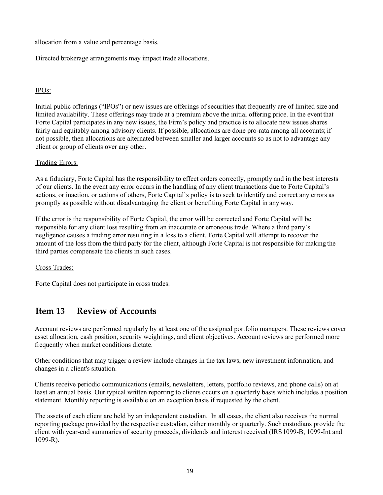allocation from a value and percentage basis.

Directed brokerage arrangements may impact trade allocations.

## IPOs:

Initial public offerings ("IPOs") or new issues are offerings of securities that frequently are of limited size and limited availability. These offerings may trade at a premium above the initial offering price. In the event that Forte Capital participates in any new issues, the Firm's policy and practice is to allocate new issues shares fairly and equitably among advisory clients. If possible, allocations are done pro-rata among all accounts; if not possible, then allocations are alternated between smaller and larger accounts so as not to advantage any client or group of clients over any other.

## Trading Errors:

As a fiduciary, Forte Capital has the responsibility to effect orders correctly, promptly and in the best interests of our clients. In the event any error occurs in the handling of any client transactions due to Forte Capital's actions, or inaction, or actions of others, Forte Capital's policy is to seek to identify and correct any errors as promptly as possible without disadvantaging the client or benefiting Forte Capital in any way.

If the error is the responsibility of Forte Capital, the error will be corrected and Forte Capital will be responsible for any client loss resulting from an inaccurate or erroneous trade. Where a third party's negligence causes a trading error resulting in a loss to a client, Forte Capital will attempt to recover the amount of the loss from the third party for the client, although Forte Capital is not responsible for making the third parties compensate the clients in such cases.

### Cross Trades:

Forte Capital does not participate in cross trades.

## <span id="page-18-0"></span>**Item 13 Review of Accounts**

Account reviews are performed regularly by at least one of the assigned portfolio managers. These reviews cover asset allocation, cash position, security weightings, and client objectives. Account reviews are performed more frequently when market conditions dictate.

Other conditions that may trigger a review include changes in the tax laws, new investment information, and changes in a client's situation.

Clients receive periodic communications (emails, newsletters, letters, portfolio reviews, and phone calls) on at least an annual basis. Our typical written reporting to clients occurs on a quarterly basis which includes a position statement. Monthly reporting is available on an exception basis if requested by the client.

<span id="page-18-1"></span>The assets of each client are held by an independent custodian. In all cases, the client also receives the normal reporting package provided by the respective custodian, either monthly or quarterly. Such custodians provide the client with year-end summaries of security proceeds, dividends and interest received (IRS1099-B, 1099-Int and 1099-R).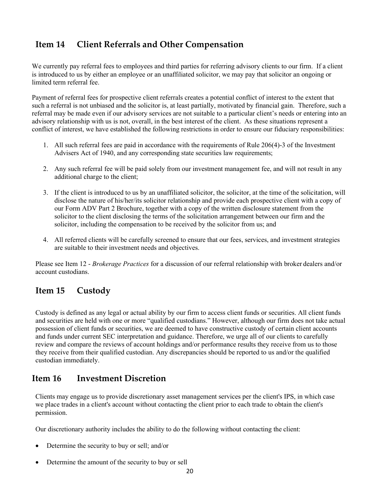## **Item 14 Client Referrals and Other Compensation**

We currently pay referral fees to employees and third parties for referring advisory clients to our firm. If a client is introduced to us by either an employee or an unaffiliated solicitor, we may pay that solicitor an ongoing or limited term referral fee.

Payment of referral fees for prospective client referrals creates a potential conflict of interest to the extent that such a referral is not unbiased and the solicitor is, at least partially, motivated by financial gain. Therefore, such a referral may be made even if our advisory services are not suitable to a particular client's needs or entering into an advisory relationship with us is not, overall, in the best interest of the client. As these situations represent a conflict of interest, we have established the following restrictions in order to ensure our fiduciary responsibilities:

- 1. All such referral fees are paid in accordance with the requirements of Rule 206(4)-3 of the Investment Advisers Act of 1940, and any corresponding state securities law requirements;
- 2. Any such referral fee will be paid solely from our investment management fee, and will not result in any additional charge to the client;
- 3. If the client is introduced to us by an unaffiliated solicitor, the solicitor, at the time of the solicitation, will disclose the nature of his/her/its solicitor relationship and provide each prospective client with a copy of our Form ADV Part 2 Brochure, together with a copy of the written disclosure statement from the solicitor to the client disclosing the terms of the solicitation arrangement between our firm and the solicitor, including the compensation to be received by the solicitor from us; and
- 4. All referred clients will be carefully screened to ensure that our fees, services, and investment strategies are suitable to their investment needs and objectives.

Please see Item 12 - *Brokerage Practices* for a discussion of our referral relationship with broker dealers and/or account custodians.

## **Item 15 Custody**

Custody is defined as any legal or actual ability by our firm to access client funds or securities. All client funds and securities are held with one or more "qualified custodians." However, although our firm does not take actual possession of client funds or securities, we are deemed to have constructive custody of certain client accounts and funds under current SEC interpretation and guidance. Therefore, we urge all of our clients to carefully review and compare the reviews of account holdings and/or performance results they receive from us to those they receive from their qualified custodian. Any discrepancies should be reported to us and/or the qualified custodian immediately.

## <span id="page-19-0"></span>**Item 16 Investment Discretion**

Clients may engage us to provide discretionary asset management services per the client's IPS, in which case we place trades in a client's account without contacting the client prior to each trade to obtain the client's permission.

Our discretionary authority includes the ability to do the following without contacting the client:

- Determine the security to buy or sell; and/or
- Determine the amount of the security to buy or sell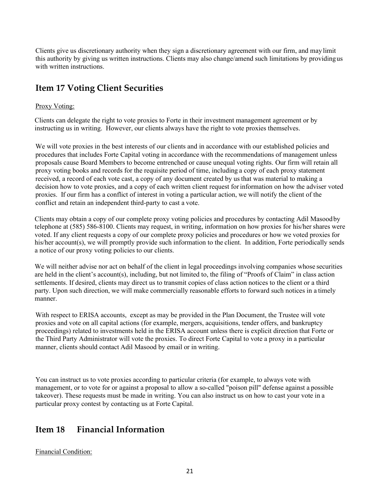Clients give us discretionary authority when they sign a discretionary agreement with our firm, and may limit this authority by giving us written instructions. Clients may also change/amend such limitations by providingus with written instructions.

## **Item 17 Voting Client Securities**

## Proxy Voting:

Clients can delegate the right to vote proxies to Forte in their investment management agreement or by instructing us in writing. However, our clients always have the right to vote proxies themselves.

We will vote proxies in the best interests of our clients and in accordance with our established policies and procedures that includes Forte Capital voting in accordance with the recommendations of management unless proposals cause Board Members to become entrenched or cause unequal voting rights. Our firm will retain all proxy voting books and records for the requisite period of time, including a copy of each proxy statement received, a record of each vote cast, a copy of any document created by usthat was material to making a decision how to vote proxies, and a copy of each written client request forinformation on how the adviser voted proxies. If our firm has a conflict of interest in voting a particular action, we will notify the client of the conflict and retain an independent third-party to cast a vote.

Clients may obtain a copy of our complete proxy voting policies and procedures by contacting Adil Masoodby telephone at (585) 586-8100. Clients may request, in writing, information on how proxies for his/her shares were voted. If any client requests a copy of our complete proxy policies and procedures or how we voted proxies for his/her account(s), we will promptly provide such information to the client. In addition, Forte periodically sends a notice of our proxy voting policies to our clients.

We will neither advise nor act on behalf of the client in legal proceedings involving companies whose securities are held in the client's account(s), including, but not limited to, the filing of "Proofs of Claim" in class action settlements. If desired, clients may direct us to transmit copies of class action notices to the client or a third party. Upon such direction, we will make commercially reasonable efforts to forward such notices in a timely manner.

With respect to ERISA accounts, except as may be provided in the Plan Document, the Trustee will vote proxies and vote on all capital actions (for example, mergers, acquisitions, tender offers, and bankruptcy proceedings) related to investments held in the ERISA account unless there is explicit direction that Forte or the Third Party Administrator will vote the proxies. To direct Forte Capital to vote a proxy in a particular manner, clients should contact Adil Masood by email or in writing.

You can instruct us to vote proxies according to particular criteria (for example, to always vote with management, or to vote for or against a proposal to allow a so-called "poison pill" defense against a possible takeover). These requests must be made in writing. You can also instruct us on how to cast your vote in a particular proxy contest by contacting us at Forte Capital.

## <span id="page-20-0"></span>**Item 18 Financial Information**

Financial Condition: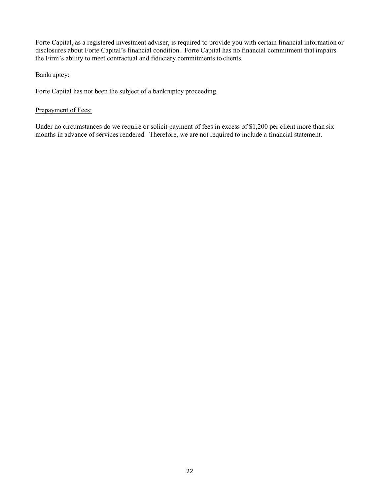Forte Capital, as a registered investment adviser, is required to provide you with certain financial information or disclosures about Forte Capital's financial condition. Forte Capital has no financial commitment that impairs the Firm's ability to meet contractual and fiduciary commitments to clients.

## Bankruptcy:

Forte Capital has not been the subject of a bankruptcy proceeding.

## Prepayment of Fees:

Under no circumstances do we require or solicit payment of fees in excess of \$1,200 per client more than six months in advance of services rendered. Therefore, we are not required to include a financial statement.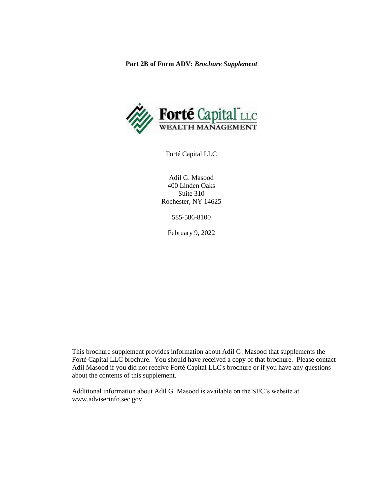**Part 2B of Form ADV:** *Brochure Supplement*



Forté Capital LLC

Adil G. Masood 400 Linden Oaks Suite 310 Rochester, NY 14625

585-586-8100

February 9, 2022

This brochure supplement provides information about Adil G. Masood that supplements the Forté Capital LLC brochure. You should have received a copy of that brochure. Please contact Adil Masood if you did not receive Forté Capital LLC's brochure or if you have any questions about the contents of this supplement.

Additional information about Adil G. Masood is available on the SEC's website at www.adviserinfo.sec.gov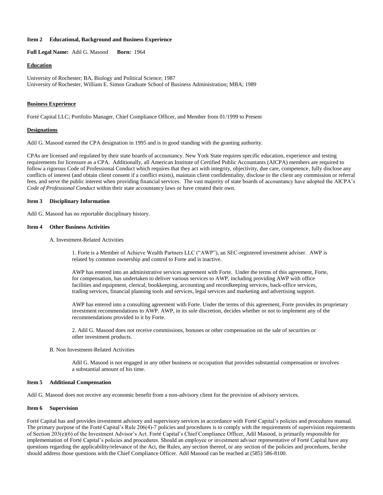#### **Item 2 Educational, Background and Business Experience**

**Full Legal Name:** Adil G. Masood **Born:** 1964

#### **Education**

University of Rochester; BA, Biology and Political Science; 1987 University of Rochester, William E. Simon Graduate School of Business Administration; MBA; 1989

#### **Business Experience**

Forté Capital LLC; Portfolio Manager, Chief Compliance Officer, and Member from 01/1999 to Present

#### **Designations**

Adil G. Masood earned the CPA designation in 1995 and is in good standing with the granting authority.

CPAs are licensed and regulated by their state boards of accountancy. New York State requires specific education, experience and testing requirements for licensure as a CPA. Additionally, all American Institute of Certified Public Accountants (AICPA) members are required to follow a rigorous Code of Professional Conduct which requires that they act with integrity, objectivity, due care, competence, fully disclose any conflicts of interest (and obtain client consent if a conflict exists), maintain client confidentiality, disclose to the client any commission or referral fees, and serve the public interest when providing financial services. The vast majority of state boards of accountancy have adopted the AICPA's *Code of Professional Conduct* within their state accountancy laws or have created their own.

#### **Item 3 Disciplinary Information**

Adil G. Masood has no reportable disciplinary history.

#### **Item 4 Other Business Activities**

A. Investment-Related Activities

1. Forte is a Member of Achieve Wealth Partners LLC ("AWP"), an SEC-registered investment adviser. AWP is related by common ownership and control to Forte and is inactive.

AWP has entered into an administrative services agreement with Forte. Under the terms of this agreement, Forte, for compensation, has undertaken to deliver various services to AWP, including providing AWP with office facilities and equipment, clerical, bookkeeping, accounting and recordkeeping services, back-office services, trading services, financial planning tools and services, legal services and marketing and advertising support.

AWP has entered into a consulting agreement with Forte. Under the terms of this agreement, Forte provides its proprietary investment recommendations to AWP. AWP, in its sole discretion, decides whether or not to implement any of the recommendations provided to it by Forte.

2. Adil G. Masood does not receive commissions, bonuses or other compensation on the sale of securities or other investment products.

#### B. Non Investment-Related Activities

Adil G. Masood is not engaged in any other business or occupation that provides substantial compensation or involves a substantial amount of his time.

#### **Item 5 Additional Compensation**

Adil G. Masood does not receive any economic benefit from a non-advisory client for the provision of advisory services.

#### **Item 6 Supervision**

Forté Capital has and provides investment advisory and supervisory services in accordance with Forté Capital's policies and procedures manual. The primary purpose of the Forté Capital's Rule 206(4)-7 policies and procedures is to comply with the requirements of supervision requirements of Section 203(e)(6) of the Investment Advisor's Act. Forté Capital's Chief Compliance Officer, Adil Masood, is primarily responsible for implementation of Forté Capital's policies and procedures. Should an employee or investment adviser representative of Forté Capital have any questions regarding the applicability/relevance of the Act, the Rules, any section thereof, or any section of the policies and procedures, he/she should address those questions with the Chief Compliance Officer. Adil Masood can be reached at (585) 586-8100.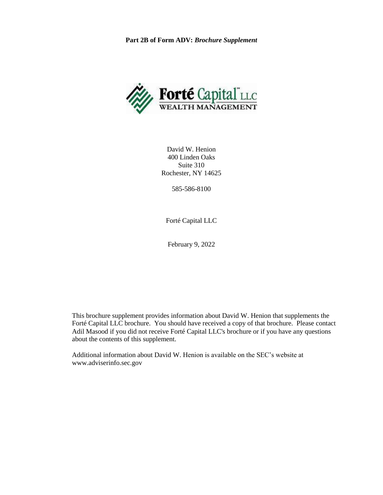**Part 2B of Form ADV:** *Brochure Supplement*



David W. Henion 400 Linden Oaks Suite 310 Rochester, NY 14625

585-586-8100

Forté Capital LLC

February 9, 2022

This brochure supplement provides information about David W. Henion that supplements the Forté Capital LLC brochure. You should have received a copy of that brochure. Please contact Adil Masood if you did not receive Forté Capital LLC's brochure or if you have any questions about the contents of this supplement.

Additional information about David W. Henion is available on the SEC's website at www.adviserinfo.sec.gov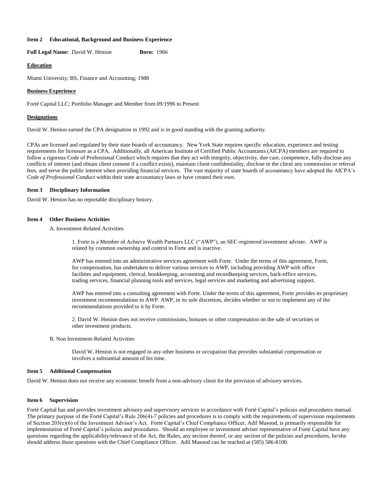#### **Item 2 Educational, Background and Business Experience**

**Full Legal Name:** David W. Henion **Born:** 1966

#### **Education**

Miami University; BS, Finance and Accounting; 1988

#### **Business Experience**

Forté Capital LLC; Portfolio Manager and Member from 09/1996 to Present

#### **Designations**

David W. Henion earned the CPA designation in 1992 and is in good standing with the granting authority.

CPAs are licensed and regulated by their state boards of accountancy. New York State requires specific education, experience and testing requirements for licensure as a CPA. Additionally, all American Institute of Certified Public Accountants (AICPA) members are required to follow a rigorous Code of Professional Conduct which requires that they act with integrity, objectivity, due care, competence, fully disclose any conflicts of interest (and obtain client consent if a conflict exists), maintain client confidentiality, disclose to the client any commission or referral fees, and serve the public interest when providing financial services. The vast majority of state boards of accountancy have adopted the AICPA's *Code of Professional Conduct* within their state accountancy laws or have created their own.

#### **Item 3 Disciplinary Information**

David W. Henion has no reportable disciplinary history.

#### **Item 4 Other Business Activities**

A. Investment-Related Activities

1. Forte is a Member of Achieve Wealth Partners LLC ("AWP"), an SEC-registered investment adviser. AWP is related by common ownership and control to Forte and is inactive.

AWP has entered into an administrative services agreement with Forte. Under the terms of this agreement, Forte, for compensation, has undertaken to deliver various services to AWP, including providing AWP with office facilities and equipment, clerical, bookkeeping, accounting and recordkeeping services, back-office services, trading services, financial planning tools and services, legal services and marketing and advertising support.

AWP has entered into a consulting agreement with Forte. Under the terms of this agreement, Forte provides its proprietary investment recommendations to AWP. AWP, in its sole discretion, decides whether or not to implement any of the recommendations provided to it by Forte.

2. David W. Henion does not receive commissions, bonuses or other compensation on the sale of securities or other investment products.

#### B. Non Investment-Related Activities

David W. Henion is not engaged in any other business or occupation that provides substantial compensation or involves a substantial amount of his time.

#### **Item 5 Additional Compensation**

David W. Henion does not receive any economic benefit from a non-advisory client for the provision of advisory services.

#### **Item 6 Supervision**

Forté Capital has and provides investment advisory and supervisory services in accordance with Forté Capital's policies and procedures manual. The primary purpose of the Forté Capital's Rule 206(4)-7 policies and procedures is to comply with the requirements of supervision requirements of Section 203(e)(6) of the Investment Advisor's Act. Forté Capital's Chief Compliance Officer, Adil Masood, is primarily responsible for implementation of Forté Capital's policies and procedures. Should an employee or investment adviser representative of Forté Capital have any questions regarding the applicability/relevance of the Act, the Rules, any section thereof, or any section of the policies and procedures, he/she should address those questions with the Chief Compliance Officer. Adil Masood can be reached at (585) 586-8100.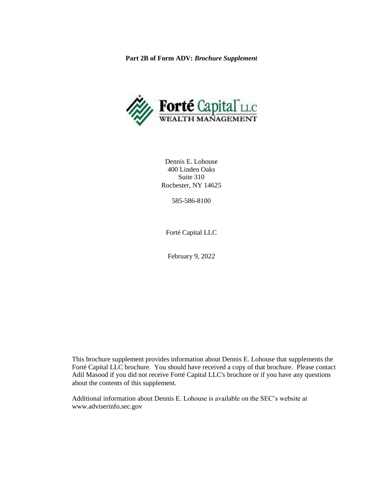**Part 2B of Form ADV:** *Brochure Supplement*



Dennis E. Lohouse 400 Linden Oaks Suite 310 Rochester, NY 14625

585-586-8100

Forté Capital LLC

February 9, 2022

This brochure supplement provides information about Dennis E. Lohouse that supplements the Forté Capital LLC brochure. You should have received a copy of that brochure. Please contact Adil Masood if you did not receive Forté Capital LLC's brochure or if you have any questions about the contents of this supplement.

Additional information about Dennis E. Lohouse is available on the SEC's website at www.adviserinfo.sec.gov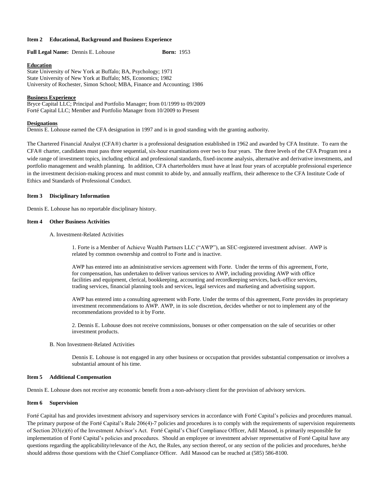#### **Item 2 Educational, Background and Business Experience**

Full Legal Name: Dennis E. Lohouse **Born: 1953** 

#### **Education**

State University of New York at Buffalo; BA, Psychology; 1971 State University of New York at Buffalo; MS, Economics; 1982 University of Rochester, Simon School; MBA, Finance and Accounting; 1986

#### **Business Experience**

Bryce Capital LLC; Principal and Portfolio Manager; from 01/1999 to 09/2009 Forté Capital LLC; Member and Portfolio Manager from 10/2009 to Present

#### **Designations**

Dennis E. Lohouse earned the CFA designation in 1997 and is in good standing with the granting authority.

The Chartered Financial Analyst (CFA®) charter is a professional designation established in 1962 and awarded by CFA Institute. To earn the CFA® charter, candidates must pass three sequential, six-hour examinations over two to four years. The three levels of the CFA Program test a wide range of investment topics, including ethical and professional standards, fixed-income analysis, alternative and derivative investments, and portfolio management and wealth planning. In addition, CFA charterholders must have at least four years of acceptable professional experience in the investment decision-making process and must commit to abide by, and annually reaffirm, their adherence to the CFA Institute Code of Ethics and Standards of Professional Conduct.

#### **Item 3 Disciplinary Information**

Dennis E. Lohouse has no reportable disciplinary history.

#### **Item 4 Other Business Activities**

A. Investment-Related Activities

1. Forte is a Member of Achieve Wealth Partners LLC ("AWP"), an SEC-registered investment adviser. AWP is related by common ownership and control to Forte and is inactive.

AWP has entered into an administrative services agreement with Forte. Under the terms of this agreement, Forte, for compensation, has undertaken to deliver various services to AWP, including providing AWP with office facilities and equipment, clerical, bookkeeping, accounting and recordkeeping services, back-office services, trading services, financial planning tools and services, legal services and marketing and advertising support.

AWP has entered into a consulting agreement with Forte. Under the terms of this agreement, Forte provides its proprietary investment recommendations to AWP. AWP, in its sole discretion, decides whether or not to implement any of the recommendations provided to it by Forte.

2. Dennis E. Lohouse does not receive commissions, bonuses or other compensation on the sale of securities or other investment products.

#### B. Non Investment-Related Activities

Dennis E. Lohouse is not engaged in any other business or occupation that provides substantial compensation or involves a substantial amount of his time.

#### **Item 5 Additional Compensation**

Dennis E. Lohouse does not receive any economic benefit from a non-advisory client for the provision of advisory services.

#### **Item 6 Supervision**

Forté Capital has and provides investment advisory and supervisory services in accordance with Forté Capital's policies and procedures manual. The primary purpose of the Forté Capital's Rule 206(4)-7 policies and procedures is to comply with the requirements of supervision requirements of Section 203(e)(6) of the Investment Advisor's Act. Forté Capital's Chief Compliance Officer, Adil Masood, is primarily responsible for implementation of Forté Capital's policies and procedures. Should an employee or investment adviser representative of Forté Capital have any questions regarding the applicability/relevance of the Act, the Rules, any section thereof, or any section of the policies and procedures, he/she should address those questions with the Chief Compliance Officer. Adil Masood can be reached at (585) 586-8100.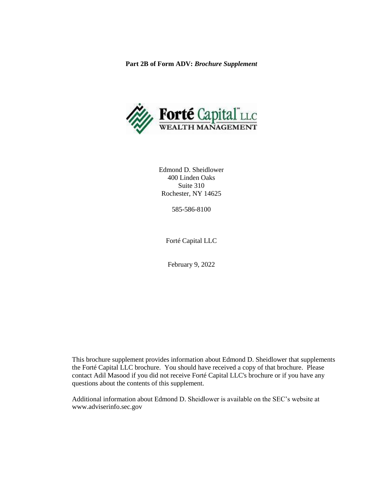**Part 2B of Form ADV:** *Brochure Supplement*



Edmond D. Sheidlower 400 Linden Oaks Suite 310 Rochester, NY 14625

585-586-8100

Forté Capital LLC

February 9, 2022

This brochure supplement provides information about Edmond D. Sheidlower that supplements the Forté Capital LLC brochure. You should have received a copy of that brochure. Please contact Adil Masood if you did not receive Forté Capital LLC's brochure or if you have any questions about the contents of this supplement.

Additional information about Edmond D. Sheidlower is available on the SEC's website at www.adviserinfo.sec.gov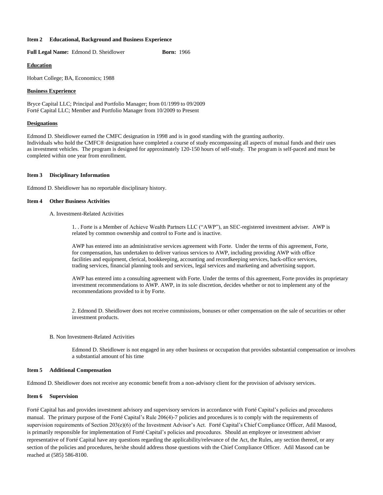#### **Item 2 Educational, Background and Business Experience**

Full Legal Name: Edmond D. Sheidlower **Born:** 1966

#### **Education**

Hobart College; BA, Economics; 1988

#### **Business Experience**

Bryce Capital LLC; Principal and Portfolio Manager; from 01/1999 to 09/2009 Forté Capital LLC; Member and Portfolio Manager from 10/2009 to Present

#### **Designations**

Edmond D. Sheidlower earned the CMFC designation in 1998 and is in good standing with the granting authority. Individuals who hold the CMFC® designation have completed a course of study encompassing all aspects of mutual funds and their uses as investment vehicles. The program is designed for approximately 120-150 hours of self-study. The program is self-paced and must be completed within one year from enrollment.

#### **Item 3 Disciplinary Information**

Edmond D. Sheidlower has no reportable disciplinary history.

#### **Item 4 Other Business Activities**

A. Investment-Related Activities

1. . Forte is a Member of Achieve Wealth Partners LLC ("AWP"), an SEC-registered investment adviser. AWP is related by common ownership and control to Forte and is inactive.

AWP has entered into an administrative services agreement with Forte. Under the terms of this agreement, Forte, for compensation, has undertaken to deliver various services to AWP, including providing AWP with office facilities and equipment, clerical, bookkeeping, accounting and recordkeeping services, back-office services, trading services, financial planning tools and services, legal services and marketing and advertising support.

AWP has entered into a consulting agreement with Forte. Under the terms of this agreement, Forte provides its proprietary investment recommendations to AWP. AWP, in its sole discretion, decides whether or not to implement any of the recommendations provided to it by Forte.

2. Edmond D. Sheidlower does not receive commissions, bonuses or other compensation on the sale of securities or other investment products.

#### B. Non Investment-Related Activities

Edmond D. Sheidlower is not engaged in any other business or occupation that provides substantial compensation or involves a substantial amount of his time

#### **Item 5 Additional Compensation**

Edmond D. Sheidlower does not receive any economic benefit from a non-advisory client for the provision of advisory services.

#### **Item 6 Supervision**

Forté Capital has and provides investment advisory and supervisory services in accordance with Forté Capital's policies and procedures manual. The primary purpose of the Forté Capital's Rule 206(4)-7 policies and procedures is to comply with the requirements of supervision requirements of Section 203(e)(6) of the Investment Advisor's Act. Forté Capital's Chief Compliance Officer, Adil Masood, is primarily responsible for implementation of Forté Capital's policies and procedures. Should an employee or investment adviser representative of Forté Capital have any questions regarding the applicability/relevance of the Act, the Rules, any section thereof, or any section of the policies and procedures, he/she should address those questions with the Chief Compliance Officer. Adil Masood can be reached at (585) 586-8100.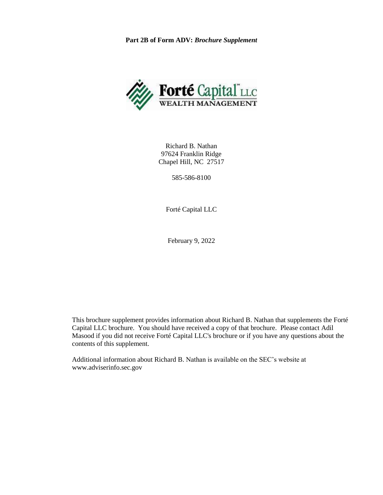**Part 2B of Form ADV:** *Brochure Supplement*



Richard B. Nathan 97624 Franklin Ridge Chapel Hill, NC 27517

585-586-8100

Forté Capital LLC

February 9, 2022

This brochure supplement provides information about Richard B. Nathan that supplements the Forté Capital LLC brochure. You should have received a copy of that brochure. Please contact Adil Masood if you did not receive Forté Capital LLC's brochure or if you have any questions about the contents of this supplement.

Additional information about Richard B. Nathan is available on the SEC's website at www.adviserinfo.sec.gov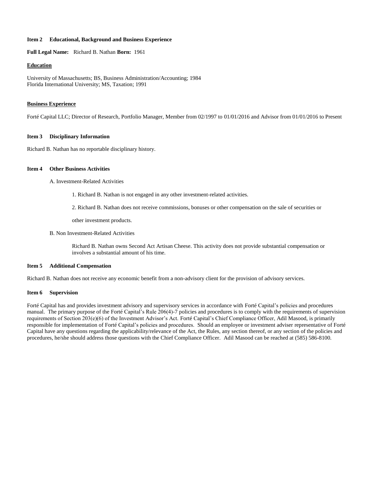#### **Item 2 Educational, Background and Business Experience**

**Full Legal Name:** Richard B. Nathan **Born:** 1961

#### **Education**

University of Massachusetts; BS, Business Administration/Accounting; 1984 Florida International University; MS, Taxation; 1991

#### **Business Experience**

Forté Capital LLC; Director of Research, Portfolio Manager, Member from 02/1997 to 01/01/2016 and Advisor from 01/01/2016 to Present

#### **Item 3 Disciplinary Information**

Richard B. Nathan has no reportable disciplinary history.

#### **Item 4 Other Business Activities**

A. Investment-Related Activities

1. Richard B. Nathan is not engaged in any other investment-related activities.

2. Richard B. Nathan does not receive commissions, bonuses or other compensation on the sale of securities or

other investment products.

B. Non Investment-Related Activities

Richard B. Nathan owns Second Act Artisan Cheese. This activity does not provide substantial compensation or involves a substantial amount of his time.

### **Item 5 Additional Compensation**

Richard B. Nathan does not receive any economic benefit from a non-advisory client for the provision of advisory services.

#### **Item 6 Supervision**

Forté Capital has and provides investment advisory and supervisory services in accordance with Forté Capital's policies and procedures manual. The primary purpose of the Forté Capital's Rule 206(4)-7 policies and procedures is to comply with the requirements of supervision requirements of Section 203(e)(6) of the Investment Advisor's Act. Forté Capital's Chief Compliance Officer, Adil Masood, is primarily responsible for implementation of Forté Capital's policies and procedures. Should an employee or investment adviser representative of Forté Capital have any questions regarding the applicability/relevance of the Act, the Rules, any section thereof, or any section of the policies and procedures, he/she should address those questions with the Chief Compliance Officer. Adil Masood can be reached at (585) 586-8100.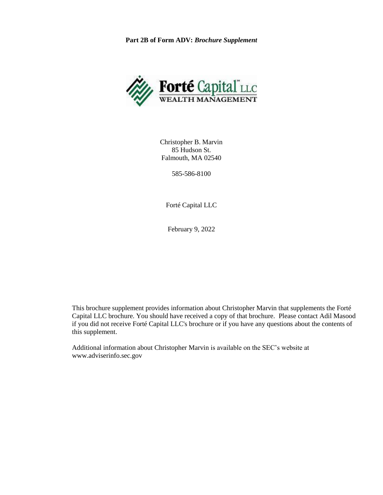**Part 2B of Form ADV:** *Brochure Supplement*



Christopher B. Marvin 85 Hudson St. Falmouth, MA 02540

585-586-8100

Forté Capital LLC

February 9, 2022

This brochure supplement provides information about Christopher Marvin that supplements the Forté Capital LLC brochure. You should have received a copy of that brochure. Please contact Adil Masood if you did not receive Forté Capital LLC's brochure or if you have any questions about the contents of this supplement.

Additional information about Christopher Marvin is available on the SEC's website at www.adviserinfo.sec.gov